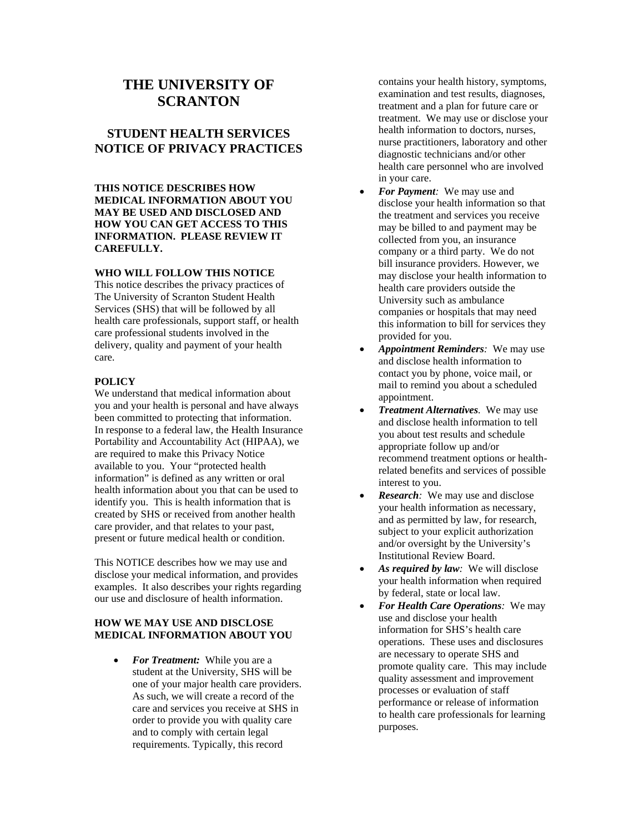# **THE UNIVERSITY OF SCRANTON**

## **STUDENT HEALTH SERVICES NOTICE OF PRIVACY PRACTICES**

### **THIS NOTICE DESCRIBES HOW MEDICAL INFORMATION ABOUT YOU MAY BE USED AND DISCLOSED AND HOW YOU CAN GET ACCESS TO THIS INFORMATION. PLEASE REVIEW IT CAREFULLY.**

### **WHO WILL FOLLOW THIS NOTICE**

This notice describes the privacy practices of The University of Scranton Student Health Services (SHS) that will be followed by all health care professionals, support staff, or health care professional students involved in the delivery, quality and payment of your health care.

### **POLICY**

We understand that medical information about you and your health is personal and have always been committed to protecting that information. In response to a federal law, the Health Insurance Portability and Accountability Act (HIPAA), we are required to make this Privacy Notice available to you. Your "protected health information" is defined as any written or oral health information about you that can be used to identify you. This is health information that is created by SHS or received from another health care provider, and that relates to your past, present or future medical health or condition.

This NOTICE describes how we may use and disclose your medical information, and provides examples. It also describes your rights regarding our use and disclosure of health information.

### **HOW WE MAY USE AND DISCLOSE MEDICAL INFORMATION ABOUT YOU**

• *For Treatment:* While you are a student at the University, SHS will be one of your major health care providers. As such, we will create a record of the care and services you receive at SHS in order to provide you with quality care and to comply with certain legal requirements. Typically, this record

contains your health history, symptoms, examination and test results, diagnoses, treatment and a plan for future care or treatment. We may use or disclose your health information to doctors, nurses, nurse practitioners, laboratory and other diagnostic technicians and/or other health care personnel who are involved in your care.

- *For Payment:* We may use and disclose your health information so that the treatment and services you receive may be billed to and payment may be collected from you, an insurance company or a third party. We do not bill insurance providers. However, we may disclose your health information to health care providers outside the University such as ambulance companies or hospitals that may need this information to bill for services they provided for you.
- *Appointment Reminders:* We may use and disclose health information to contact you by phone, voice mail, or mail to remind you about a scheduled appointment.
- *Treatment Alternatives.* We may use and disclose health information to tell you about test results and schedule appropriate follow up and/or recommend treatment options or healthrelated benefits and services of possible interest to you.
- *Research:* We may use and disclose your health information as necessary, and as permitted by law, for research, subject to your explicit authorization and/or oversight by the University's Institutional Review Board.
- *As required by law:* We will disclose your health information when required by federal, state or local law.
- *For Health Care Operations:* We may use and disclose your health information for SHS's health care operations. These uses and disclosures are necessary to operate SHS and promote quality care. This may include quality assessment and improvement processes or evaluation of staff performance or release of information to health care professionals for learning purposes.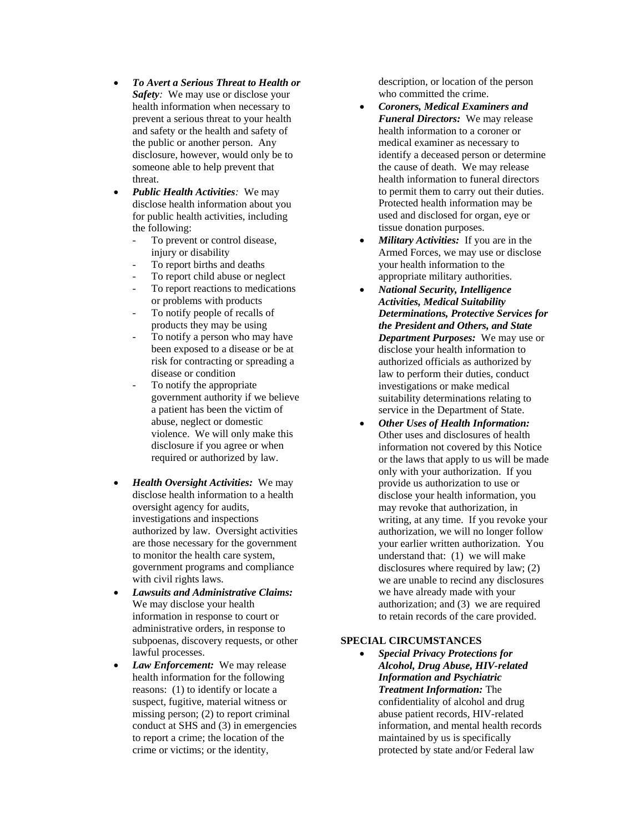- *To Avert a Serious Threat to Health or Safety:* We may use or disclose your health information when necessary to prevent a serious threat to your health and safety or the health and safety of the public or another person. Any disclosure, however, would only be to someone able to help prevent that threat.
- *Public Health Activities:* We may disclose health information about you for public health activities, including the following:
	- To prevent or control disease, injury or disability
	- To report births and deaths
	- To report child abuse or neglect
	- To report reactions to medications or problems with products
	- To notify people of recalls of products they may be using
	- To notify a person who may have been exposed to a disease or be at risk for contracting or spreading a disease or condition
	- To notify the appropriate government authority if we believe a patient has been the victim of abuse, neglect or domestic violence. We will only make this disclosure if you agree or when required or authorized by law.
- *Health Oversight Activities:* We may disclose health information to a health oversight agency for audits, investigations and inspections authorized by law. Oversight activities are those necessary for the government to monitor the health care system, government programs and compliance with civil rights laws.
- *Lawsuits and Administrative Claims:* We may disclose your health information in response to court or administrative orders, in response to subpoenas, discovery requests, or other lawful processes.
- *Law Enforcement:* We may release health information for the following reasons: (1) to identify or locate a suspect, fugitive, material witness or missing person; (2) to report criminal conduct at SHS and (3) in emergencies to report a crime; the location of the crime or victims; or the identity,

description, or location of the person who committed the crime.

- *Coroners, Medical Examiners and Funeral Directors:* We may release health information to a coroner or medical examiner as necessary to identify a deceased person or determine the cause of death. We may release health information to funeral directors to permit them to carry out their duties. Protected health information may be used and disclosed for organ, eye or tissue donation purposes.
- *Military Activities:* If you are in the Armed Forces, we may use or disclose your health information to the appropriate military authorities.
- *National Security, Intelligence Activities, Medical Suitability Determinations, Protective Services for the President and Others, and State Department Purposes:* We may use or disclose your health information to authorized officials as authorized by law to perform their duties, conduct investigations or make medical suitability determinations relating to service in the Department of State.
- *Other Uses of Health Information:* Other uses and disclosures of health information not covered by this Notice or the laws that apply to us will be made only with your authorization. If you provide us authorization to use or disclose your health information, you may revoke that authorization, in writing, at any time. If you revoke your authorization, we will no longer follow your earlier written authorization. You understand that: (1) we will make disclosures where required by law; (2) we are unable to recind any disclosures we have already made with your authorization; and (3) we are required to retain records of the care provided.

### **SPECIAL CIRCUMSTANCES**

• *Special Privacy Protections for Alcohol, Drug Abuse, HIV-related Information and Psychiatric Treatment Information:* The confidentiality of alcohol and drug abuse patient records, HIV-related information, and mental health records maintained by us is specifically protected by state and/or Federal law